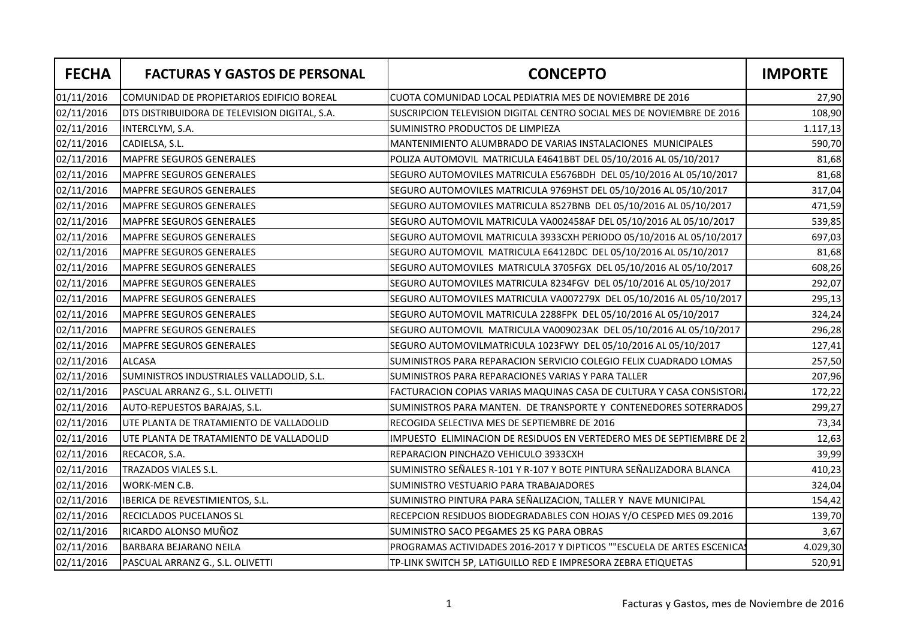| <b>FECHA</b> | <b>FACTURAS Y GASTOS DE PERSONAL</b>          | <b>CONCEPTO</b>                                                        | <b>IMPORTE</b> |
|--------------|-----------------------------------------------|------------------------------------------------------------------------|----------------|
| 01/11/2016   | COMUNIDAD DE PROPIETARIOS EDIFICIO BOREAL     | CUOTA COMUNIDAD LOCAL PEDIATRIA MES DE NOVIEMBRE DE 2016               | 27,90          |
| 02/11/2016   | DTS DISTRIBUIDORA DE TELEVISION DIGITAL, S.A. | SUSCRIPCION TELEVISION DIGITAL CENTRO SOCIAL MES DE NOVIEMBRE DE 2016  | 108,90         |
| 02/11/2016   | INTERCLYM, S.A.                               | SUMINISTRO PRODUCTOS DE LIMPIEZA                                       | 1.117,13       |
| 02/11/2016   | CADIELSA, S.L.                                | MANTENIMIENTO ALUMBRADO DE VARIAS INSTALACIONES MUNICIPALES            | 590,70         |
| 02/11/2016   | MAPFRE SEGUROS GENERALES                      | POLIZA AUTOMOVIL MATRICULA E4641BBT DEL 05/10/2016 AL 05/10/2017       | 81,68          |
| 02/11/2016   | <b>MAPFRE SEGUROS GENERALES</b>               | SEGURO AUTOMOVILES MATRICULA E5676BDH DEL 05/10/2016 AL 05/10/2017     | 81,68          |
| 02/11/2016   | <b>MAPFRE SEGUROS GENERALES</b>               | SEGURO AUTOMOVILES MATRICULA 9769HST DEL 05/10/2016 AL 05/10/2017      | 317,04         |
| 02/11/2016   | <b>MAPFRE SEGUROS GENERALES</b>               | SEGURO AUTOMOVILES MATRICULA 8527BNB DEL 05/10/2016 AL 05/10/2017      | 471,59         |
| 02/11/2016   | <b>MAPFRE SEGUROS GENERALES</b>               | SEGURO AUTOMOVIL MATRICULA VA002458AF DEL 05/10/2016 AL 05/10/2017     | 539,85         |
| 02/11/2016   | <b>MAPFRE SEGUROS GENERALES</b>               | SEGURO AUTOMOVIL MATRICULA 3933CXH PERIODO 05/10/2016 AL 05/10/2017    | 697,03         |
| 02/11/2016   | <b>MAPFRE SEGUROS GENERALES</b>               | SEGURO AUTOMOVIL MATRICULA E6412BDC DEL 05/10/2016 AL 05/10/2017       | 81,68          |
| 02/11/2016   | <b>MAPFRE SEGUROS GENERALES</b>               | SEGURO AUTOMOVILES MATRICULA 3705FGX DEL 05/10/2016 AL 05/10/2017      | 608,26         |
| 02/11/2016   | <b>MAPFRE SEGUROS GENERALES</b>               | SEGURO AUTOMOVILES MATRICULA 8234FGV DEL 05/10/2016 AL 05/10/2017      | 292,07         |
| 02/11/2016   | MAPFRE SEGUROS GENERALES                      | SEGURO AUTOMOVILES MATRICULA VA007279X DEL 05/10/2016 AL 05/10/2017    | 295,13         |
| 02/11/2016   | <b>MAPFRE SEGUROS GENERALES</b>               | SEGURO AUTOMOVIL MATRICULA 2288FPK DEL 05/10/2016 AL 05/10/2017        | 324,24         |
| 02/11/2016   | <b>MAPFRE SEGUROS GENERALES</b>               | SEGURO AUTOMOVIL MATRICULA VA009023AK DEL 05/10/2016 AL 05/10/2017     | 296,28         |
| 02/11/2016   | <b>MAPFRE SEGUROS GENERALES</b>               | SEGURO AUTOMOVILMATRICULA 1023FWY DEL 05/10/2016 AL 05/10/2017         | 127,41         |
| 02/11/2016   | <b>ALCASA</b>                                 | SUMINISTROS PARA REPARACION SERVICIO COLEGIO FELIX CUADRADO LOMAS      | 257,50         |
| 02/11/2016   | SUMINISTROS INDUSTRIALES VALLADOLID, S.L.     | SUMINISTROS PARA REPARACIONES VARIAS Y PARA TALLER                     | 207,96         |
| 02/11/2016   | PASCUAL ARRANZ G., S.L. OLIVETTI              | FACTURACION COPIAS VARIAS MAQUINAS CASA DE CULTURA Y CASA CONSISTORI.  | 172,22         |
| 02/11/2016   | AUTO-REPUESTOS BARAJAS, S.L.                  | SUMINISTROS PARA MANTEN. DE TRANSPORTE Y CONTENEDORES SOTERRADOS       | 299,27         |
| 02/11/2016   | UTE PLANTA DE TRATAMIENTO DE VALLADOLID       | RECOGIDA SELECTIVA MES DE SEPTIEMBRE DE 2016                           | 73,34          |
| 02/11/2016   | UTE PLANTA DE TRATAMIENTO DE VALLADOLID       | IMPUESTO ELIMINACION DE RESIDUOS EN VERTEDERO MES DE SEPTIEMBRE DE 2   | 12,63          |
| 02/11/2016   | RECACOR, S.A.                                 | REPARACION PINCHAZO VEHICULO 3933CXH                                   | 39,99          |
| 02/11/2016   | TRAZADOS VIALES S.L.                          | SUMINISTRO SEÑALES R-101 Y R-107 Y BOTE PINTURA SEÑALIZADORA BLANCA    | 410,23         |
| 02/11/2016   | WORK-MEN C.B.                                 | SUMINISTRO VESTUARIO PARA TRABAJADORES                                 | 324,04         |
| 02/11/2016   | IBERICA DE REVESTIMIENTOS, S.L.               | SUMINISTRO PINTURA PARA SEÑALIZACION, TALLER Y NAVE MUNICIPAL          | 154,42         |
| 02/11/2016   | <b>RECICLADOS PUCELANOS SL</b>                | RECEPCION RESIDUOS BIODEGRADABLES CON HOJAS Y/O CESPED MES 09.2016     | 139,70         |
| 02/11/2016   | RICARDO ALONSO MUÑOZ                          | SUMINISTRO SACO PEGAMES 25 KG PARA OBRAS                               | 3,67           |
| 02/11/2016   | <b>BARBARA BEJARANO NEILA</b>                 | PROGRAMAS ACTIVIDADES 2016-2017 Y DIPTICOS ""ESCUELA DE ARTES ESCENICA | 4.029,30       |
| 02/11/2016   | PASCUAL ARRANZ G., S.L. OLIVETTI              | TP-LINK SWITCH 5P, LATIGUILLO RED E IMPRESORA ZEBRA ETIQUETAS          | 520,91         |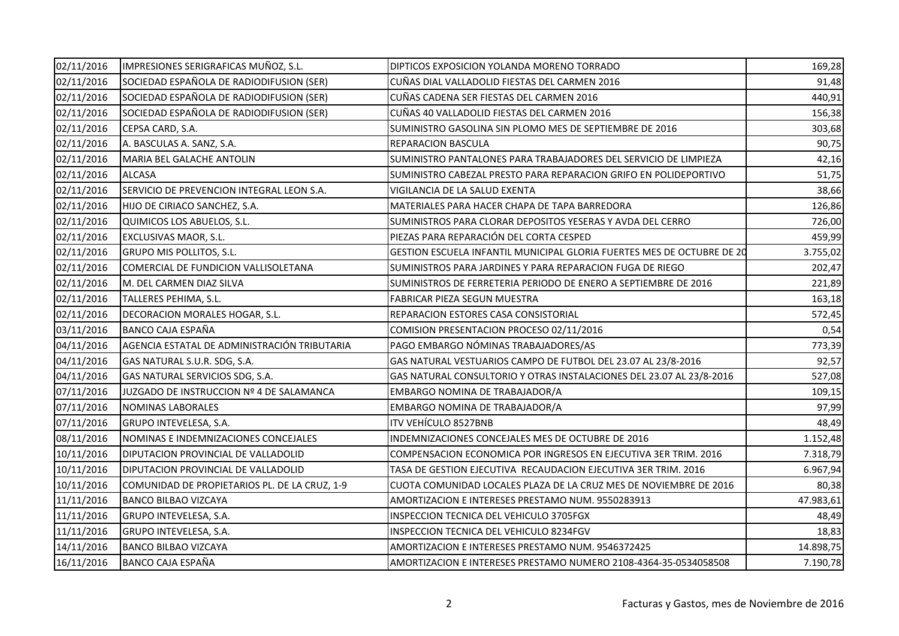| 02/11/2016 | IMPRESIONES SERIGRAFICAS MUÑOZ, S.L.          | DIPTICOS EXPOSICION YOLANDA MORENO TORRADO                             | 169,28    |
|------------|-----------------------------------------------|------------------------------------------------------------------------|-----------|
| 02/11/2016 | SOCIEDAD ESPAÑOLA DE RADIODIFUSION (SER)      | CUÑAS DIAL VALLADOLID FIESTAS DEL CARMEN 2016                          | 91,48     |
| 02/11/2016 | SOCIEDAD ESPAÑOLA DE RADIODIFUSION (SER)      | CUÑAS CADENA SER FIESTAS DEL CARMEN 2016                               | 440,91    |
| 02/11/2016 | SOCIEDAD ESPAÑOLA DE RADIODIFUSION (SER)      | CUÑAS 40 VALLADOLID FIESTAS DEL CARMEN 2016                            | 156,38    |
| 02/11/2016 | CEPSA CARD, S.A.                              | SUMINISTRO GASOLINA SIN PLOMO MES DE SEPTIEMBRE DE 2016                | 303,68    |
| 02/11/2016 | A. BASCULAS A. SANZ, S.A.                     | REPARACION BASCULA                                                     | 90,75     |
| 02/11/2016 | MARIA BEL GALACHE ANTOLIN                     | SUMINISTRO PANTALONES PARA TRABAJADORES DEL SERVICIO DE LIMPIEZA       | 42,16     |
| 02/11/2016 | <b>ALCASA</b>                                 | SUMINISTRO CABEZAL PRESTO PARA REPARACION GRIFO EN POLIDEPORTIVO       | 51,75     |
| 02/11/2016 | SERVICIO DE PREVENCION INTEGRAL LEON S.A.     | VIGILANCIA DE LA SALUD EXENTA                                          | 38,66     |
| 02/11/2016 | HIJO DE CIRIACO SANCHEZ, S.A.                 | MATERIALES PARA HACER CHAPA DE TAPA BARREDORA                          | 126,86    |
| 02/11/2016 | QUIMICOS LOS ABUELOS, S.L.                    | SUMINISTROS PARA CLORAR DEPOSITOS YESERAS Y AVDA DEL CERRO             | 726,00    |
| 02/11/2016 | EXCLUSIVAS MAOR, S.L.                         | PIEZAS PARA REPARACIÓN DEL CORTA CESPED                                | 459,99    |
| 02/11/2016 | <b>GRUPO MIS POLLITOS, S.L.</b>               | GESTION ESCUELA INFANTIL MUNICIPAL GLORIA FUERTES MES DE OCTUBRE DE 20 | 3.755,02  |
| 02/11/2016 | COMERCIAL DE FUNDICION VALLISOLETANA          | SUMINISTROS PARA JARDINES Y PARA REPARACION FUGA DE RIEGO              | 202,47    |
| 02/11/2016 | M. DEL CARMEN DIAZ SILVA                      | SUMINISTROS DE FERRETERIA PERIODO DE ENERO A SEPTIEMBRE DE 2016        | 221,89    |
| 02/11/2016 | TALLERES PEHIMA, S.L.                         | FABRICAR PIEZA SEGUN MUESTRA                                           | 163,18    |
| 02/11/2016 | DECORACION MORALES HOGAR, S.L.                | REPARACION ESTORES CASA CONSISTORIAL                                   | 572,45    |
| 03/11/2016 | <b>BANCO CAJA ESPAÑA</b>                      | COMISION PRESENTACION PROCESO 02/11/2016                               | 0,54      |
| 04/11/2016 | AGENCIA ESTATAL DE ADMINISTRACIÓN TRIBUTARIA  | PAGO EMBARGO NÓMINAS TRABAJADORES/AS                                   | 773,39    |
| 04/11/2016 | GAS NATURAL S.U.R. SDG, S.A.                  | GAS NATURAL VESTUARIOS CAMPO DE FUTBOL DEL 23.07 AL 23/8-2016          | 92,57     |
| 04/11/2016 | GAS NATURAL SERVICIOS SDG, S.A.               | GAS NATURAL CONSULTORIO Y OTRAS INSTALACIONES DEL 23.07 AL 23/8-2016   | 527,08    |
| 07/11/2016 | JUZGADO DE INSTRUCCION Nº 4 DE SALAMANCA      | EMBARGO NOMINA DE TRABAJADOR/A                                         | 109,15    |
| 07/11/2016 | <b>NOMINAS LABORALES</b>                      | EMBARGO NOMINA DE TRABAJADOR/A                                         | 97,99     |
| 07/11/2016 | GRUPO INTEVELESA, S.A.                        | ITV VEHÍCULO 8527BNB                                                   | 48,49     |
| 08/11/2016 | NOMINAS E INDEMNIZACIONES CONCEJALES          | INDEMNIZACIONES CONCEJALES MES DE OCTUBRE DE 2016                      | 1.152,48  |
| 10/11/2016 | DIPUTACION PROVINCIAL DE VALLADOLID           | COMPENSACION ECONOMICA POR INGRESOS EN EJECUTIVA 3ER TRIM. 2016        | 7.318,79  |
| 10/11/2016 | DIPUTACION PROVINCIAL DE VALLADOLID           | TASA DE GESTION EJECUTIVA RECAUDACION EJECUTIVA 3ER TRIM. 2016         | 6.967,94  |
| 10/11/2016 | COMUNIDAD DE PROPIETARIOS PL. DE LA CRUZ, 1-9 | CUOTA COMUNIDAD LOCALES PLAZA DE LA CRUZ MES DE NOVIEMBRE DE 2016      | 80,38     |
| 11/11/2016 | <b>BANCO BILBAO VIZCAYA</b>                   | AMORTIZACION E INTERESES PRESTAMO NUM. 9550283913                      | 47.983,61 |
| 11/11/2016 | GRUPO INTEVELESA, S.A.                        | INSPECCION TECNICA DEL VEHICULO 3705FGX                                | 48,49     |
| 11/11/2016 | GRUPO INTEVELESA, S.A.                        | INSPECCION TECNICA DEL VEHICULO 8234FGV                                | 18,83     |
| 14/11/2016 | <b>BANCO BILBAO VIZCAYA</b>                   | AMORTIZACION E INTERESES PRESTAMO NUM. 9546372425                      | 14.898,75 |
| 16/11/2016 | <b>BANCO CAJA ESPAÑA</b>                      | AMORTIZACION E INTERESES PRESTAMO NUMERO 2108-4364-35-0534058508       | 7.190,78  |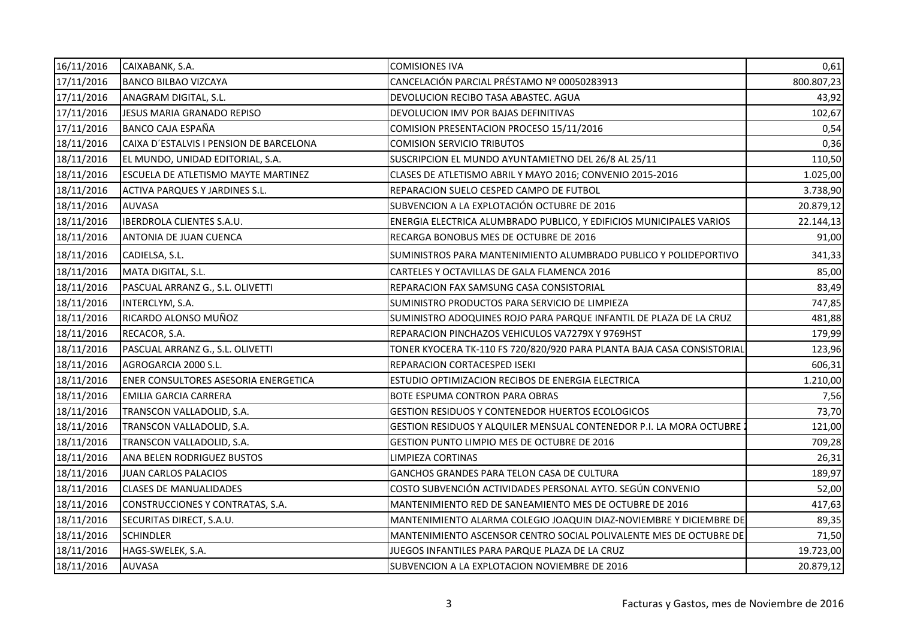| 16/11/2016 | CAIXABANK, S.A.                         | <b>COMISIONES IVA</b>                                                  | 0,61       |
|------------|-----------------------------------------|------------------------------------------------------------------------|------------|
| 17/11/2016 | <b>BANCO BILBAO VIZCAYA</b>             | CANCELACIÓN PARCIAL PRÉSTAMO Nº 00050283913                            | 800.807,23 |
| 17/11/2016 | ANAGRAM DIGITAL, S.L.                   | DEVOLUCION RECIBO TASA ABASTEC. AGUA                                   | 43,92      |
| 17/11/2016 | <b>JESUS MARIA GRANADO REPISO</b>       | DEVOLUCION IMV POR BAJAS DEFINITIVAS                                   | 102,67     |
| 17/11/2016 | BANCO CAJA ESPAÑA                       | COMISION PRESENTACION PROCESO 15/11/2016                               | 0,54       |
| 18/11/2016 | CAIXA D'ESTALVIS I PENSION DE BARCELONA | <b>COMISION SERVICIO TRIBUTOS</b>                                      | 0,36       |
| 18/11/2016 | EL MUNDO, UNIDAD EDITORIAL, S.A.        | SUSCRIPCION EL MUNDO AYUNTAMIETNO DEL 26/8 AL 25/11                    | 110,50     |
| 18/11/2016 | ESCUELA DE ATLETISMO MAYTE MARTINEZ     | CLASES DE ATLETISMO ABRIL Y MAYO 2016; CONVENIO 2015-2016              | 1.025,00   |
| 18/11/2016 | ACTIVA PARQUES Y JARDINES S.L.          | REPARACION SUELO CESPED CAMPO DE FUTBOL                                | 3.738,90   |
| 18/11/2016 | <b>AUVASA</b>                           | SUBVENCION A LA EXPLOTACIÓN OCTUBRE DE 2016                            | 20.879,12  |
| 18/11/2016 | <b>IBERDROLA CLIENTES S.A.U.</b>        | ENERGIA ELECTRICA ALUMBRADO PUBLICO, Y EDIFICIOS MUNICIPALES VARIOS    | 22.144,13  |
| 18/11/2016 | ANTONIA DE JUAN CUENCA                  | RECARGA BONOBUS MES DE OCTUBRE DE 2016                                 | 91,00      |
| 18/11/2016 | CADIELSA, S.L.                          | SUMINISTROS PARA MANTENIMIENTO ALUMBRADO PUBLICO Y POLIDEPORTIVO       | 341,33     |
| 18/11/2016 | MATA DIGITAL, S.L.                      | CARTELES Y OCTAVILLAS DE GALA FLAMENCA 2016                            | 85,00      |
| 18/11/2016 | PASCUAL ARRANZ G., S.L. OLIVETTI        | REPARACION FAX SAMSUNG CASA CONSISTORIAL                               | 83,49      |
| 18/11/2016 | INTERCLYM, S.A.                         | SUMINISTRO PRODUCTOS PARA SERVICIO DE LIMPIEZA                         | 747,85     |
| 18/11/2016 | RICARDO ALONSO MUÑOZ                    | SUMINISTRO ADOQUINES ROJO PARA PARQUE INFANTIL DE PLAZA DE LA CRUZ     | 481,88     |
| 18/11/2016 | RECACOR, S.A.                           | REPARACION PINCHAZOS VEHICULOS VA7279X Y 9769HST                       | 179,99     |
| 18/11/2016 | PASCUAL ARRANZ G., S.L. OLIVETTI        | TONER KYOCERA TK-110 FS 720/820/920 PARA PLANTA BAJA CASA CONSISTORIAL | 123,96     |
| 18/11/2016 | AGROGARCIA 2000 S.L.                    | REPARACION CORTACESPED ISEKI                                           | 606,31     |
| 18/11/2016 | ENER CONSULTORES ASESORIA ENERGETICA    | ESTUDIO OPTIMIZACION RECIBOS DE ENERGIA ELECTRICA                      | 1.210,00   |
| 18/11/2016 | <b>EMILIA GARCIA CARRERA</b>            | BOTE ESPUMA CONTRON PARA OBRAS                                         | 7,56       |
| 18/11/2016 | TRANSCON VALLADOLID, S.A.               | GESTION RESIDUOS Y CONTENEDOR HUERTOS ECOLOGICOS                       | 73,70      |
| 18/11/2016 | TRANSCON VALLADOLID, S.A.               | GESTION RESIDUOS Y ALQUILER MENSUAL CONTENEDOR P.I. LA MORA OCTUBRE    | 121,00     |
| 18/11/2016 | TRANSCON VALLADOLID, S.A.               | GESTION PUNTO LIMPIO MES DE OCTUBRE DE 2016                            | 709,28     |
| 18/11/2016 | ANA BELEN RODRIGUEZ BUSTOS              | LIMPIEZA CORTINAS                                                      | 26,31      |
| 18/11/2016 | JUAN CARLOS PALACIOS                    | GANCHOS GRANDES PARA TELON CASA DE CULTURA                             | 189,97     |
| 18/11/2016 | <b>CLASES DE MANUALIDADES</b>           | COSTO SUBVENCIÓN ACTIVIDADES PERSONAL AYTO. SEGÚN CONVENIO             | 52,00      |
| 18/11/2016 | CONSTRUCCIONES Y CONTRATAS, S.A.        | MANTENIMIENTO RED DE SANEAMIENTO MES DE OCTUBRE DE 2016                | 417,63     |
| 18/11/2016 | SECURITAS DIRECT, S.A.U.                | MANTENIMIENTO ALARMA COLEGIO JOAQUIN DIAZ-NOVIEMBRE Y DICIEMBRE DE     | 89,35      |
| 18/11/2016 | <b>SCHINDLER</b>                        | MANTENIMIENTO ASCENSOR CENTRO SOCIAL POLIVALENTE MES DE OCTUBRE DE     | 71,50      |
| 18/11/2016 | HAGS-SWELEK, S.A.                       | JUEGOS INFANTILES PARA PARQUE PLAZA DE LA CRUZ                         | 19.723,00  |
| 18/11/2016 | <b>AUVASA</b>                           | SUBVENCION A LA EXPLOTACION NOVIEMBRE DE 2016                          | 20.879,12  |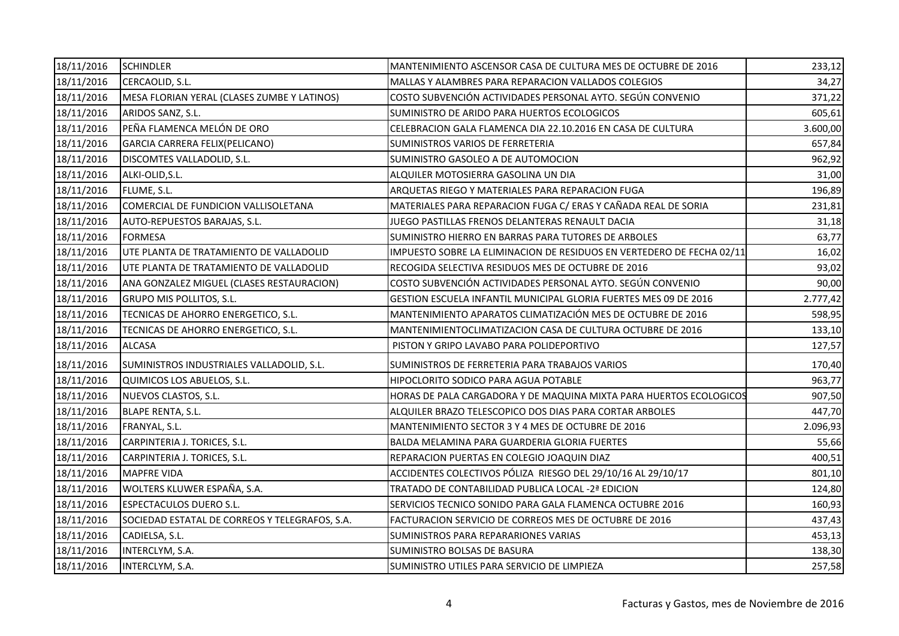| 18/11/2016 | <b>SCHINDLER</b>                               | MANTENIMIENTO ASCENSOR CASA DE CULTURA MES DE OCTUBRE DE 2016         | 233,12   |
|------------|------------------------------------------------|-----------------------------------------------------------------------|----------|
| 18/11/2016 | CERCAOLID, S.L.                                | MALLAS Y ALAMBRES PARA REPARACION VALLADOS COLEGIOS                   | 34,27    |
| 18/11/2016 | MESA FLORIAN YERAL (CLASES ZUMBE Y LATINOS)    | COSTO SUBVENCIÓN ACTIVIDADES PERSONAL AYTO. SEGÚN CONVENIO            | 371,22   |
| 18/11/2016 | ARIDOS SANZ, S.L.                              | SUMINISTRO DE ARIDO PARA HUERTOS ECOLOGICOS                           | 605,61   |
| 18/11/2016 | PEÑA FLAMENCA MELÓN DE ORO                     | CELEBRACION GALA FLAMENCA DIA 22.10.2016 EN CASA DE CULTURA           | 3.600,00 |
| 18/11/2016 | GARCIA CARRERA FELIX(PELICANO)                 | SUMINISTROS VARIOS DE FERRETERIA                                      | 657,84   |
| 18/11/2016 | DISCOMTES VALLADOLID, S.L.                     | SUMINISTRO GASOLEO A DE AUTOMOCION                                    | 962,92   |
| 18/11/2016 | ALKI-OLID, S.L.                                | ALQUILER MOTOSIERRA GASOLINA UN DIA                                   | 31,00    |
| 18/11/2016 | FLUME, S.L.                                    | ARQUETAS RIEGO Y MATERIALES PARA REPARACION FUGA                      | 196,89   |
| 18/11/2016 | COMERCIAL DE FUNDICION VALLISOLETANA           | MATERIALES PARA REPARACION FUGA C/ ERAS Y CAÑADA REAL DE SORIA        | 231,81   |
| 18/11/2016 | AUTO-REPUESTOS BARAJAS, S.L.                   | JUEGO PASTILLAS FRENOS DELANTERAS RENAULT DACIA                       | 31,18    |
| 18/11/2016 | <b>FORMESA</b>                                 | SUMINISTRO HIERRO EN BARRAS PARA TUTORES DE ARBOLES                   | 63,77    |
| 18/11/2016 | UTE PLANTA DE TRATAMIENTO DE VALLADOLID        | IMPUESTO SOBRE LA ELIMINACION DE RESIDUOS EN VERTEDERO DE FECHA 02/11 | 16,02    |
| 18/11/2016 | UTE PLANTA DE TRATAMIENTO DE VALLADOLID        | RECOGIDA SELECTIVA RESIDUOS MES DE OCTUBRE DE 2016                    | 93,02    |
| 18/11/2016 | ANA GONZALEZ MIGUEL (CLASES RESTAURACION)      | COSTO SUBVENCIÓN ACTIVIDADES PERSONAL AYTO. SEGÚN CONVENIO            | 90,00    |
| 18/11/2016 | GRUPO MIS POLLITOS, S.L.                       | GESTION ESCUELA INFANTIL MUNICIPAL GLORIA FUERTES MES 09 DE 2016      | 2.777,42 |
| 18/11/2016 | TECNICAS DE AHORRO ENERGETICO, S.L.            | MANTENIMIENTO APARATOS CLIMATIZACIÓN MES DE OCTUBRE DE 2016           | 598,95   |
| 18/11/2016 | TECNICAS DE AHORRO ENERGETICO, S.L.            | MANTENIMIENTOCLIMATIZACION CASA DE CULTURA OCTUBRE DE 2016            | 133,10   |
| 18/11/2016 | <b>ALCASA</b>                                  | PISTON Y GRIPO LAVABO PARA POLIDEPORTIVO                              | 127,57   |
| 18/11/2016 | SUMINISTROS INDUSTRIALES VALLADOLID, S.L.      | SUMINISTROS DE FERRETERIA PARA TRABAJOS VARIOS                        | 170,40   |
| 18/11/2016 | QUIMICOS LOS ABUELOS, S.L.                     | HIPOCLORITO SODICO PARA AGUA POTABLE                                  | 963,77   |
| 18/11/2016 | NUEVOS CLASTOS, S.L.                           | HORAS DE PALA CARGADORA Y DE MAQUINA MIXTA PARA HUERTOS ECOLOGICOS    | 907,50   |
| 18/11/2016 | <b>BLAPE RENTA, S.L.</b>                       | ALQUILER BRAZO TELESCOPICO DOS DIAS PARA CORTAR ARBOLES               | 447,70   |
| 18/11/2016 | FRANYAL, S.L.                                  | MANTENIMIENTO SECTOR 3 Y 4 MES DE OCTUBRE DE 2016                     | 2.096,93 |
| 18/11/2016 | CARPINTERIA J. TORICES, S.L.                   | BALDA MELAMINA PARA GUARDERIA GLORIA FUERTES                          | 55,66    |
| 18/11/2016 | CARPINTERIA J. TORICES, S.L.                   | REPARACION PUERTAS EN COLEGIO JOAQUIN DIAZ                            | 400,51   |
| 18/11/2016 | <b>MAPFRE VIDA</b>                             | ACCIDENTES COLECTIVOS PÓLIZA RIESGO DEL 29/10/16 AL 29/10/17          | 801,10   |
| 18/11/2016 | WOLTERS KLUWER ESPAÑA, S.A.                    | TRATADO DE CONTABILIDAD PUBLICA LOCAL -2ª EDICION                     | 124,80   |
| 18/11/2016 | <b>ESPECTACULOS DUERO S.L.</b>                 | SERVICIOS TECNICO SONIDO PARA GALA FLAMENCA OCTUBRE 2016              | 160,93   |
| 18/11/2016 | SOCIEDAD ESTATAL DE CORREOS Y TELEGRAFOS, S.A. | FACTURACION SERVICIO DE CORREOS MES DE OCTUBRE DE 2016                | 437,43   |
| 18/11/2016 | CADIELSA, S.L.                                 | SUMINISTROS PARA REPARARIONES VARIAS                                  | 453,13   |
| 18/11/2016 | INTERCLYM, S.A.                                | SUMINISTRO BOLSAS DE BASURA                                           | 138,30   |
| 18/11/2016 | INTERCLYM, S.A.                                | SUMINISTRO UTILES PARA SERVICIO DE LIMPIEZA                           | 257,58   |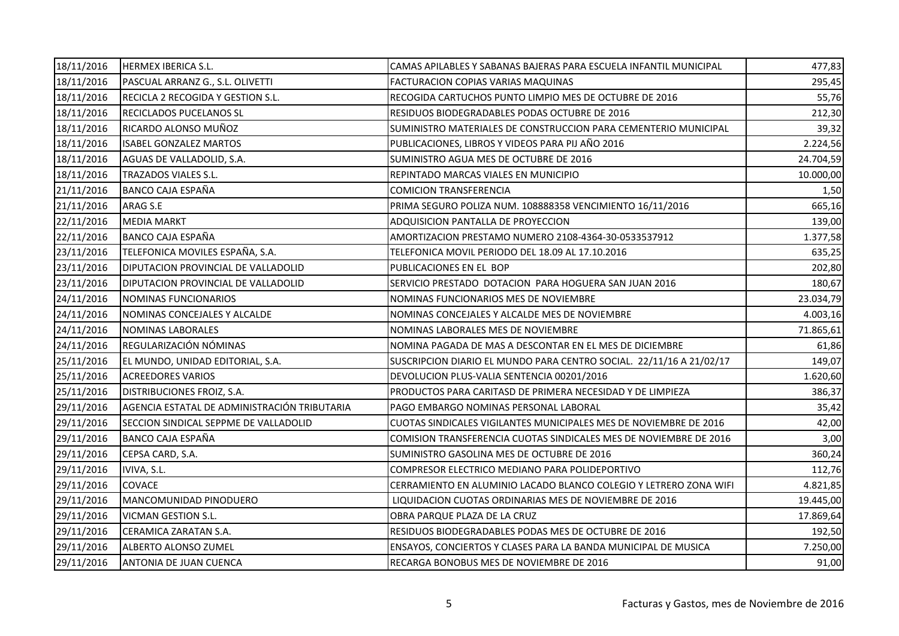| 18/11/2016 | HERMEX IBERICA S.L.                          | CAMAS APILABLES Y SABANAS BAJERAS PARA ESCUELA INFANTIL MUNICIPAL   | 477,83    |
|------------|----------------------------------------------|---------------------------------------------------------------------|-----------|
| 18/11/2016 | PASCUAL ARRANZ G., S.L. OLIVETTI             | FACTURACION COPIAS VARIAS MAQUINAS                                  | 295,45    |
| 18/11/2016 | RECICLA 2 RECOGIDA Y GESTION S.L.            | RECOGIDA CARTUCHOS PUNTO LIMPIO MES DE OCTUBRE DE 2016              | 55,76     |
| 18/11/2016 | <b>RECICLADOS PUCELANOS SL</b>               | RESIDUOS BIODEGRADABLES PODAS OCTUBRE DE 2016                       | 212,30    |
| 18/11/2016 | RICARDO ALONSO MUÑOZ                         | SUMINISTRO MATERIALES DE CONSTRUCCION PARA CEMENTERIO MUNICIPAL     | 39,32     |
| 18/11/2016 | <b>ISABEL GONZALEZ MARTOS</b>                | PUBLICACIONES, LIBROS Y VIDEOS PARA PIJ AÑO 2016                    | 2.224,56  |
| 18/11/2016 | AGUAS DE VALLADOLID, S.A.                    | SUMINISTRO AGUA MES DE OCTUBRE DE 2016                              | 24.704,59 |
| 18/11/2016 | TRAZADOS VIALES S.L.                         | REPINTADO MARCAS VIALES EN MUNICIPIO                                | 10.000,00 |
| 21/11/2016 | BANCO CAJA ESPAÑA                            | <b>COMICION TRANSFERENCIA</b>                                       | 1,50      |
| 21/11/2016 | ARAG S.E                                     | PRIMA SEGURO POLIZA NUM. 108888358 VENCIMIENTO 16/11/2016           | 665,16    |
| 22/11/2016 | <b>MEDIA MARKT</b>                           | ADQUISICION PANTALLA DE PROYECCION                                  | 139,00    |
| 22/11/2016 | BANCO CAJA ESPAÑA                            | AMORTIZACION PRESTAMO NUMERO 2108-4364-30-0533537912                | 1.377,58  |
| 23/11/2016 | TELEFONICA MOVILES ESPAÑA, S.A.              | TELEFONICA MOVIL PERIODO DEL 18.09 AL 17.10.2016                    | 635,25    |
| 23/11/2016 | <b>DIPUTACION PROVINCIAL DE VALLADOLID</b>   | PUBLICACIONES EN EL BOP                                             | 202,80    |
| 23/11/2016 | DIPUTACION PROVINCIAL DE VALLADOLID          | SERVICIO PRESTADO DOTACION PARA HOGUERA SAN JUAN 2016               | 180,67    |
| 24/11/2016 | NOMINAS FUNCIONARIOS                         | NOMINAS FUNCIONARIOS MES DE NOVIEMBRE                               | 23.034,79 |
| 24/11/2016 | NOMINAS CONCEJALES Y ALCALDE                 | NOMINAS CONCEJALES Y ALCALDE MES DE NOVIEMBRE                       | 4.003,16  |
| 24/11/2016 | NOMINAS LABORALES                            | NOMINAS LABORALES MES DE NOVIEMBRE                                  | 71.865,61 |
| 24/11/2016 | REGULARIZACIÓN NÓMINAS                       | NOMINA PAGADA DE MAS A DESCONTAR EN EL MES DE DICIEMBRE             | 61,86     |
| 25/11/2016 | EL MUNDO, UNIDAD EDITORIAL, S.A.             | SUSCRIPCION DIARIO EL MUNDO PARA CENTRO SOCIAL. 22/11/16 A 21/02/17 | 149,07    |
| 25/11/2016 | <b>ACREEDORES VARIOS</b>                     | DEVOLUCION PLUS-VALIA SENTENCIA 00201/2016                          | 1.620,60  |
| 25/11/2016 | DISTRIBUCIONES FROIZ, S.A.                   | PRODUCTOS PARA CARITASD DE PRIMERA NECESIDAD Y DE LIMPIEZA          | 386,37    |
| 29/11/2016 | AGENCIA ESTATAL DE ADMINISTRACIÓN TRIBUTARIA | PAGO EMBARGO NOMINAS PERSONAL LABORAL                               | 35,42     |
| 29/11/2016 | SECCION SINDICAL SEPPME DE VALLADOLID        | CUOTAS SINDICALES VIGILANTES MUNICIPALES MES DE NOVIEMBRE DE 2016   | 42,00     |
| 29/11/2016 | <b>BANCO CAJA ESPAÑA</b>                     | COMISION TRANSFERENCIA CUOTAS SINDICALES MES DE NOVIEMBRE DE 2016   | 3,00      |
| 29/11/2016 | CEPSA CARD, S.A.                             | SUMINISTRO GASOLINA MES DE OCTUBRE DE 2016                          | 360,24    |
| 29/11/2016 | IVIVA, S.L.                                  | COMPRESOR ELECTRICO MEDIANO PARA POLIDEPORTIVO                      | 112,76    |
| 29/11/2016 | <b>COVACE</b>                                | CERRAMIENTO EN ALUMINIO LACADO BLANCO COLEGIO Y LETRERO ZONA WIFI   | 4.821,85  |
| 29/11/2016 | MANCOMUNIDAD PINODUERO                       | LIQUIDACION CUOTAS ORDINARIAS MES DE NOVIEMBRE DE 2016              | 19.445,00 |
| 29/11/2016 | <b>VICMAN GESTION S.L.</b>                   | OBRA PARQUE PLAZA DE LA CRUZ                                        | 17.869,64 |
| 29/11/2016 | CERAMICA ZARATAN S.A.                        | RESIDUOS BIODEGRADABLES PODAS MES DE OCTUBRE DE 2016                | 192,50    |
| 29/11/2016 | ALBERTO ALONSO ZUMEL                         | ENSAYOS, CONCIERTOS Y CLASES PARA LA BANDA MUNICIPAL DE MUSICA      | 7.250,00  |
| 29/11/2016 | <b>ANTONIA DE JUAN CUENCA</b>                | RECARGA BONOBUS MES DE NOVIEMBRE DE 2016                            | 91,00     |